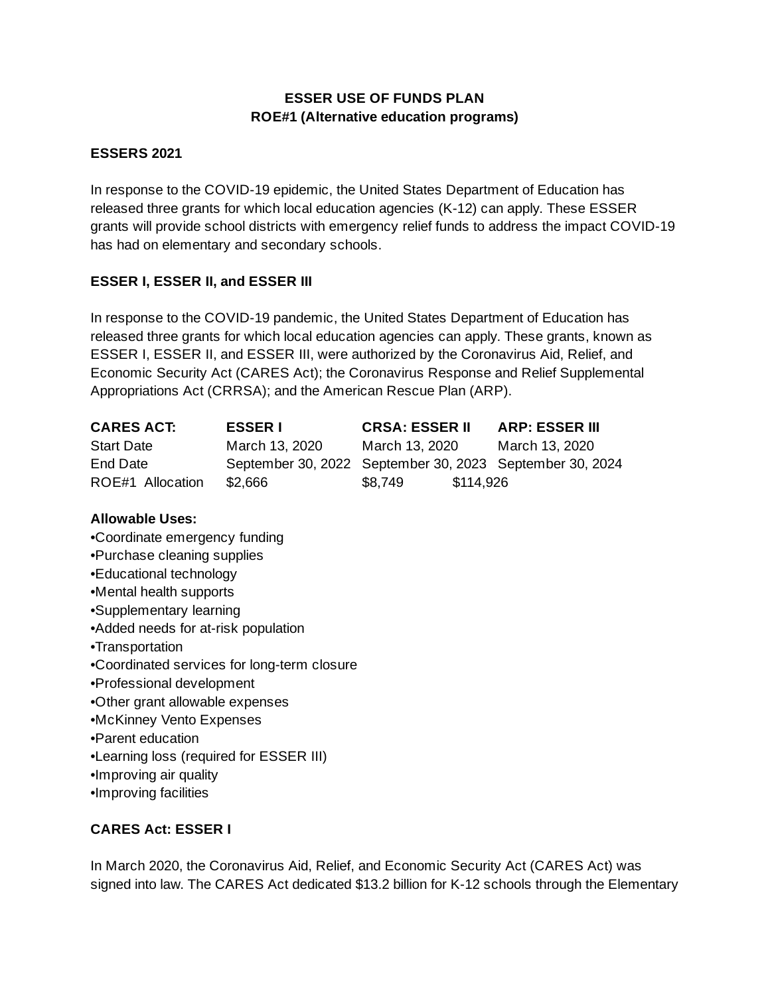## **ESSER USE OF FUNDS PLAN ROE#1 (Alternative education programs)**

### **ESSERS 2021**

In response to the COVID-19 epidemic, the United States Department of Education has released three grants for which local education agencies (K-12) can apply. These ESSER grants will provide school districts with emergency relief funds to address the impact COVID-19 has had on elementary and secondary schools.

### **ESSER I, ESSER II, and ESSER III**

In response to the COVID-19 pandemic, the United States Department of Education has released three grants for which local education agencies can apply. These grants, known as ESSER I, ESSER II, and ESSER III, were authorized by the Coronavirus Aid, Relief, and Economic Security Act (CARES Act); the Coronavirus Response and Relief Supplemental Appropriations Act (CRRSA); and the American Rescue Plan (ARP).

| <b>CARES ACT:</b> | <b>ESSER I</b> | <b>CRSA: ESSER II</b>                                    | <b>ARP: ESSER III</b> |
|-------------------|----------------|----------------------------------------------------------|-----------------------|
| <b>Start Date</b> | March 13, 2020 | March 13, 2020                                           | March 13, 2020        |
| End Date          |                | September 30, 2022 September 30, 2023 September 30, 2024 |                       |
| ROE#1 Allocation  | \$2.666        | \$114,926<br>\$8.749                                     |                       |

### **Allowable Uses:**

- •Coordinate emergency funding
- •Purchase cleaning supplies
- •Educational technology
- •Mental health supports
- •Supplementary learning
- •Added needs for at-risk population
- •Transportation
- •Coordinated services for long-term closure
- •Professional development
- •Other grant allowable expenses
- •McKinney Vento Expenses
- •Parent education
- •Learning loss (required for ESSER III)
- •Improving air quality
- •Improving facilities

### **CARES Act: ESSER I**

In March 2020, the Coronavirus Aid, Relief, and Economic Security Act (CARES Act) was signed into law. The CARES Act dedicated \$13.2 billion for K-12 schools through the Elementary